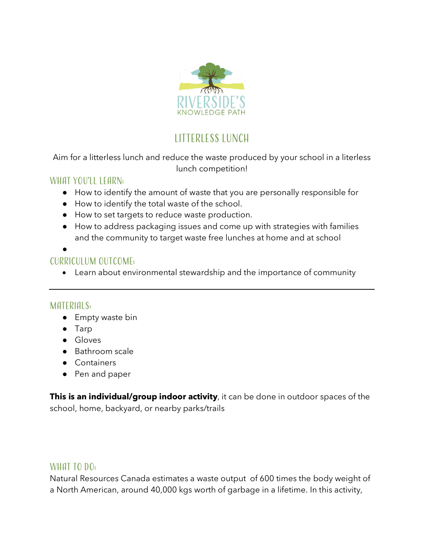

# **LITTERLESS LUNCH**

#### Aim for a litterless lunch and reduce the waste produced by your school in a literless lunch competition!

#### WHAT YOU'LL LEARN:

- How to identify the amount of waste that you are personally responsible for
- How to identify the total waste of the school.
- How to set targets to reduce waste production.
- How to address packaging issues and come up with strategies with families and the community to target waste free lunches at home and at school

●

## Curriculum outcome:

• Learn about environmental stewardship and the importance of community

## MATERIALS:

- Empty waste bin
- Tarp
- Gloves
- Bathroom scale
- Containers
- Pen and paper

**This is an individual/group indoor activity**, it can be done in outdoor spaces of the school, home, backyard, or nearby parks/trails

#### WHAT TO DO:

Natural Resources Canada estimates a waste output of 600 times the body weight of a North American, around 40,000 kgs worth of garbage in a lifetime. In this activity,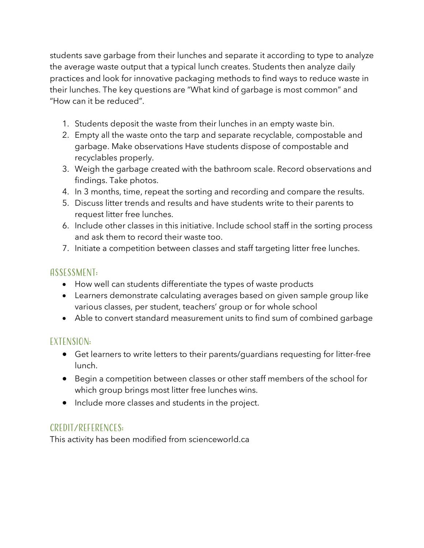students save garbage from their lunches and separate it according to type to analyze the average waste output that a typical lunch creates. Students then analyze daily practices and look for innovative packaging methods to find ways to reduce waste in their lunches. The key questions are "What kind of garbage is most common" and "How can it be reduced".

- 1. Students deposit the waste from their lunches in an empty waste bin.
- 2. Empty all the waste onto the tarp and separate recyclable, compostable and garbage. Make observations Have students dispose of compostable and recyclables properly.
- 3. Weigh the garbage created with the bathroom scale. Record observations and findings. Take photos.
- 4. In 3 months, time, repeat the sorting and recording and compare the results.
- 5. Discuss litter trends and results and have students write to their parents to request litter free lunches.
- 6. Include other classes in this initiative. Include school staff in the sorting process and ask them to record their waste too.
- 7. Initiate a competition between classes and staff targeting litter free lunches.

### Assessment:

- How well can students differentiate the types of waste products
- Learners demonstrate calculating averages based on given sample group like various classes, per student, teachers' group or for whole school
- Able to convert standard measurement units to find sum of combined garbage

# Extension:

- Get learners to write letters to their parents/guardians requesting for litter-free lunch.
- Begin a competition between classes or other staff members of the school for which group brings most litter free lunches wins.
- Include more classes and students in the project.

# Credit/References:

This activity has been modified from scienceworld.ca